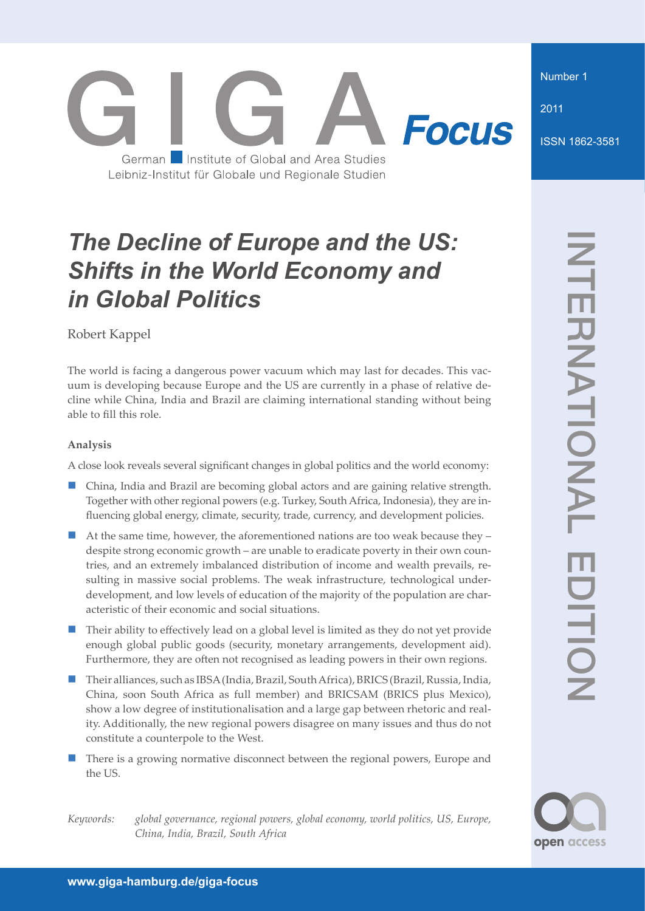Number 1

2011

ISSN 1862-3581

# **Focus** German Institute of Global and Area Studies Leibniz-Institut für Globale und Regionale Studien

## *The Decline of Europe and the US: Shifts in the World Economy and in Global Politics*

Robert Kappel

The world is facing a dangerous power vacuum which may last for decades. This vacuum is developing because Europe and the US are currently in a phase of relative decline while China, India and Brazil are claiming international standing without being able to fill this role.

## **Analysis**

A close look reveals several significant changes in global politics and the world economy:

- China, India and Brazil are becoming global actors and are gaining relative strength. Together with other regional powers (e.g. Turkey, South Africa, Indonesia), they are influencing global energy, climate, security, trade, currency, and development policies.  $\overline{\mathbb{R}}$
- At the same time, however, the aforementioned nations are too weak because they despite strong economic growth – are unable to eradicate poverty in their own countries, and an extremely imbalanced distribution of income and wealth prevails, resulting in massive social problems. The weak infrastructure, technological underdevelopment, and low levels of education of the majority of the population are characteristic of their economic and social situations.  $\sim$
- Their ability to effectively lead on a global level is limited as they do not yet provide enough global public goods (security, monetary arrangements, development aid). Furthermore, they are often not recognised as leading powers in their own regions.  $\overline{\mathbb{R}}$
- Their alliances, such as IBSA (India, Brazil, South Africa), BRICS (Brazil, Russia, India, China, soon South Africa as full member) and BRICSAM (BRICS plus Mexico), show a low degree of institutionalisation and a large gap between rhetoric and reality. Additionally, the new regional powers disagree on many issues and thus do not constitute a counterpole to the West.  $\overline{\mathbb{R}}$
- **There is a growing normative disconnect between the regional powers, Europe and** the US.

*Keywords: global governance, regional powers, global economy, world politics, US, Europe, China, India, Brazil, South Africa*

open access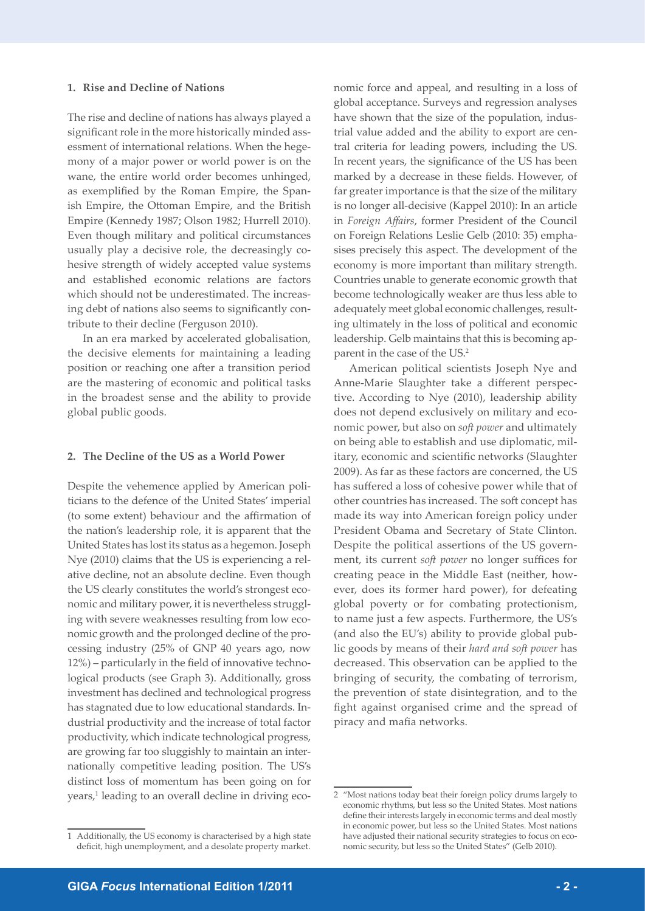#### **1. Rise and Decline of Nations**

The rise and decline of nations has always played a significant role in the more historically minded assessment of international relations. When the hegemony of a major power or world power is on the wane, the entire world order becomes unhinged, as exemplified by the Roman Empire, the Spanish Empire, the Ottoman Empire, and the British Empire (Kennedy 1987; Olson 1982; Hurrell 2010). Even though military and political circumstances usually play a decisive role, the decreasingly cohesive strength of widely accepted value systems and established economic relations are factors which should not be underestimated. The increasing debt of nations also seems to significantly contribute to their decline (Ferguson 2010).

In an era marked by accelerated globalisation, the decisive elements for maintaining a leading position or reaching one after a transition period are the mastering of economic and political tasks in the broadest sense and the ability to provide global public goods.

#### **2. The Decline of the US as a World Power**

Despite the vehemence applied by American politicians to the defence of the United States' imperial (to some extent) behaviour and the affirmation of the nation's leadership role, it is apparent that the United States has lost its status as a hegemon. Joseph Nye (2010) claims that the US is experiencing a relative decline, not an absolute decline. Even though the US clearly constitutes the world's strongest economic and military power, it is nevertheless struggling with severe weaknesses resulting from low economic growth and the prolonged decline of the processing industry (25% of GNP 40 years ago, now 12%) – particularly in the field of innovative technological products (see Graph 3). Additionally, gross investment has declined and technological progress has stagnated due to low educational standards. Industrial productivity and the increase of total factor productivity, which indicate technological progress, are growing far too sluggishly to maintain an internationally competitive leading position. The US's distinct loss of momentum has been going on for years,<sup>1</sup> leading to an overall decline in driving economic force and appeal, and resulting in a loss of global acceptance. Surveys and regression analyses have shown that the size of the population, industrial value added and the ability to export are central criteria for leading powers, including the US. In recent years, the significance of the US has been marked by a decrease in these fields. However, of far greater importance is that the size of the military is no longer all-decisive (Kappel 2010): In an article in *Foreign Affairs*, former President of the Council on Foreign Relations Leslie Gelb (2010: 35) emphasises precisely this aspect. The development of the economy is more important than military strength. Countries unable to generate economic growth that become technologically weaker are thus less able to adequately meet global economic challenges, resulting ultimately in the loss of political and economic leadership. Gelb maintains that this is becoming apparent in the case of the US.2

American political scientists Joseph Nye and Anne-Marie Slaughter take a different perspective. According to Nye (2010), leadership ability does not depend exclusively on military and economic power, but also on *soft power* and ultimately on being able to establish and use diplomatic, military, economic and scientific networks (Slaughter 2009). As far as these factors are concerned, the US has suffered a loss of cohesive power while that of other countries has increased. The soft concept has made its way into American foreign policy under President Obama and Secretary of State Clinton. Despite the political assertions of the US government, its current *soft power* no longer suffices for creating peace in the Middle East (neither, however, does its former hard power), for defeating global poverty or for combating protectionism, to name just a few aspects. Furthermore, the US's (and also the EU's) ability to provide global public goods by means of their *hard and soft power* has decreased. This observation can be applied to the bringing of security, the combating of terrorism, the prevention of state disintegration, and to the fight against organised crime and the spread of piracy and mafia networks.

<sup>1</sup> Additionally, the US economy is characterised by a high state deficit, high unemployment, and a desolate property market.

<sup>2 &</sup>quot;Most nations today beat their foreign policy drums largely to economic rhythms, but less so the United States. Most nations define their interests largely in economic terms and deal mostly in economic power, but less so the United States. Most nations have adjusted their national security strategies to focus on economic security, but less so the United States" (Gelb 2010).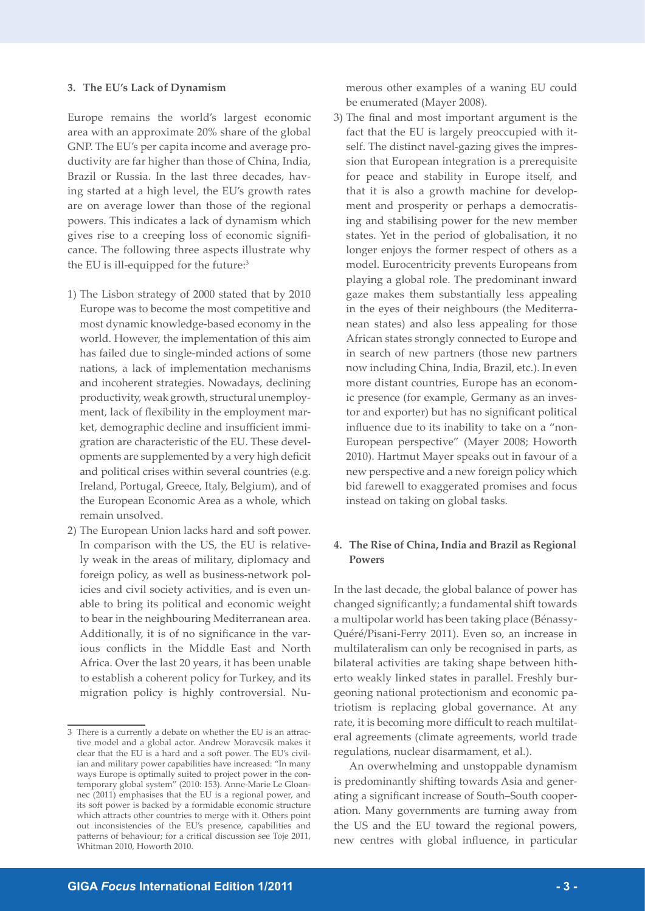#### **3. The EU's Lack of Dynamism**

Europe remains the world's largest economic area with an approximate 20% share of the global GNP. The EU's per capita income and average productivity are far higher than those of China, India, Brazil or Russia. In the last three decades, having started at a high level, the EU's growth rates are on average lower than those of the regional powers. This indicates a lack of dynamism which gives rise to a creeping loss of economic significance. The following three aspects illustrate why the EU is ill-equipped for the future:<sup>3</sup>

- 1) The Lisbon strategy of 2000 stated that by 2010 Europe was to become the most competitive and most dynamic knowledge-based economy in the world. However, the implementation of this aim has failed due to single-minded actions of some nations, a lack of implementation mechanisms and incoherent strategies. Nowadays, declining productivity, weak growth, structural unemployment, lack of flexibility in the employment market, demographic decline and insufficient immigration are characteristic of the EU. These developments are supplemented by a very high deficit and political crises within several countries (e.g. Ireland, Portugal, Greece, Italy, Belgium), and of the European Economic Area as a whole, which remain unsolved.
- 2) The European Union lacks hard and soft power. In comparison with the US, the EU is relatively weak in the areas of military, diplomacy and foreign policy, as well as business-network policies and civil society activities, and is even unable to bring its political and economic weight to bear in the neighbouring Mediterranean area. Additionally, it is of no significance in the various conflicts in the Middle East and North Africa. Over the last 20 years, it has been unable to establish a coherent policy for Turkey, and its migration policy is highly controversial. Nu-

merous other examples of a waning EU could be enumerated (Mayer 2008).

3) The final and most important argument is the fact that the EU is largely preoccupied with itself. The distinct navel-gazing gives the impression that European integration is a prerequisite for peace and stability in Europe itself, and that it is also a growth machine for development and prosperity or perhaps a democratising and stabilising power for the new member states. Yet in the period of globalisation, it no longer enjoys the former respect of others as a model. Eurocentricity prevents Europeans from playing a global role. The predominant inward gaze makes them substantially less appealing in the eyes of their neighbours (the Mediterranean states) and also less appealing for those African states strongly connected to Europe and in search of new partners (those new partners now including China, India, Brazil, etc.). In even more distant countries, Europe has an economic presence (for example, Germany as an investor and exporter) but has no significant political influence due to its inability to take on a "non-European perspective" (Mayer 2008; Howorth 2010). Hartmut Mayer speaks out in favour of a new perspective and a new foreign policy which bid farewell to exaggerated promises and focus instead on taking on global tasks.

## **4. The Rise of China, India and Brazil as Regional Powers**

In the last decade, the global balance of power has changed significantly; a fundamental shift towards a multipolar world has been taking place (Bénassy-Quéré/Pisani-Ferry 2011). Even so, an increase in multilateralism can only be recognised in parts, as bilateral activities are taking shape between hitherto weakly linked states in parallel. Freshly burgeoning national protectionism and economic patriotism is replacing global governance. At any rate, it is becoming more difficult to reach multilateral agreements (climate agreements, world trade regulations, nuclear disarmament, et al.).

An overwhelming and unstoppable dynamism is predominantly shifting towards Asia and generating a significant increase of South–South cooperation. Many governments are turning away from the US and the EU toward the regional powers, new centres with global influence, in particular

There is a currently a debate on whether the EU is an attractive model and a global actor. Andrew Moravcsik makes it clear that the EU is a hard and a soft power. The EU's civilian and military power capabilities have increased: "In many ways Europe is optimally suited to project power in the contemporary global system" (2010: 153). Anne-Marie Le Gloannec (2011) emphasises that the EU is a regional power, and its soft power is backed by a formidable economic structure which attracts other countries to merge with it. Others point out inconsistencies of the EU's presence, capabilities and patterns of behaviour; for a critical discussion see Toje 2011, Whitman 2010, Howorth 2010.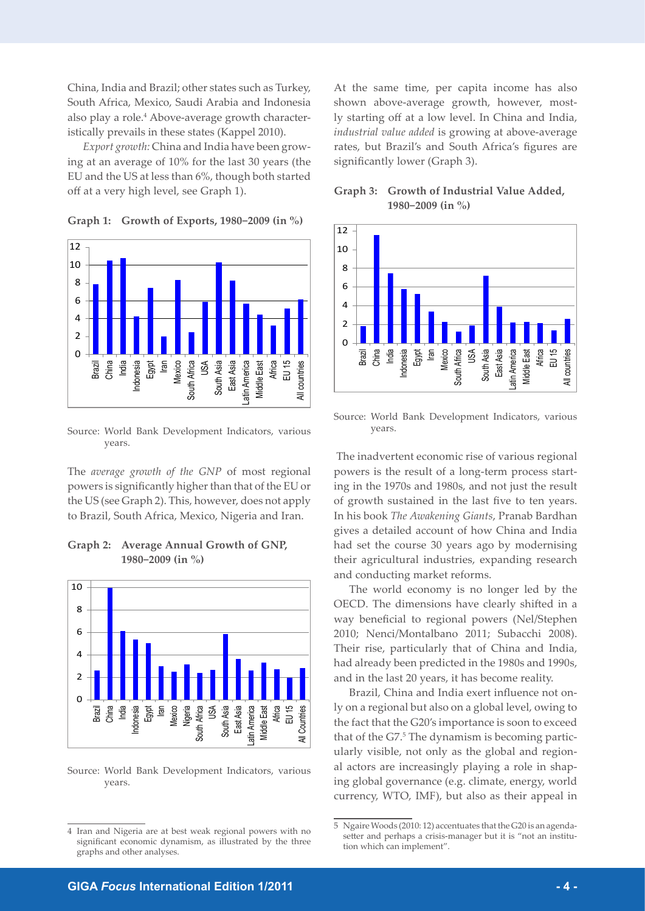China, India and Brazil; other states such as Turkey, South Africa, Mexico, Saudi Arabia and Indonesia also play a role.<sup>4</sup> Above-average growth characteristically prevails in these states (Kappel 2010).

*Export growth:* China and India have been growing at an average of 10% for the last 30 years (the EU and the US at less than 6%, though both started off at a very high level, see Graph 1).



**Graph 1: Growth of Exports, 1980−2009 (in %)**

Source: World Bank Development Indicators, various years.

The *average growth of the GNP* of most regional powers is significantly higher than that of the EU or the US (see Graph 2). This, however, does not apply to Brazil, South Africa, Mexico, Nigeria and Iran.

**Graph 2: Average Annual Growth of GNP, 1980−2009 (in %)**



Source: World Bank Development Indicators, various years.

4 Iran and Nigeria are at best weak regional powers with no significant economic dynamism, as illustrated by the three graphs and other analyses.

At the same time, per capita income has also shown above-average growth, however, mostly starting off at a low level. In China and India, *industrial value added* is growing at above-average rates, but Brazil's and South Africa's figures are significantly lower (Graph 3).





Source: World Bank Development Indicators, various years.

 The inadvertent economic rise of various regional powers is the result of a long-term process starting in the 1970s and 1980s, and not just the result of growth sustained in the last five to ten years. In his book *The Awakening Giants*, Pranab Bardhan gives a detailed account of how China and India had set the course 30 years ago by modernising their agricultural industries, expanding research and conducting market reforms.

The world economy is no longer led by the OECD. The dimensions have clearly shifted in a way beneficial to regional powers (Nel/Stephen 2010; Nenci/Montalbano 2011; Subacchi 2008). Their rise, particularly that of China and India, had already been predicted in the 1980s and 1990s, and in the last 20 years, it has become reality.

Brazil, China and India exert influence not only on a regional but also on a global level, owing to the fact that the G20's importance is soon to exceed that of the G7.<sup>5</sup> The dynamism is becoming particularly visible, not only as the global and regional actors are increasingly playing a role in shaping global governance (e.g. climate, energy, world currency, WTO, IMF), but also as their appeal in

Ngaire Woods (2010: 12) accentuates that the G20 is an agendasetter and perhaps a crisis-manager but it is "not an institution which can implement".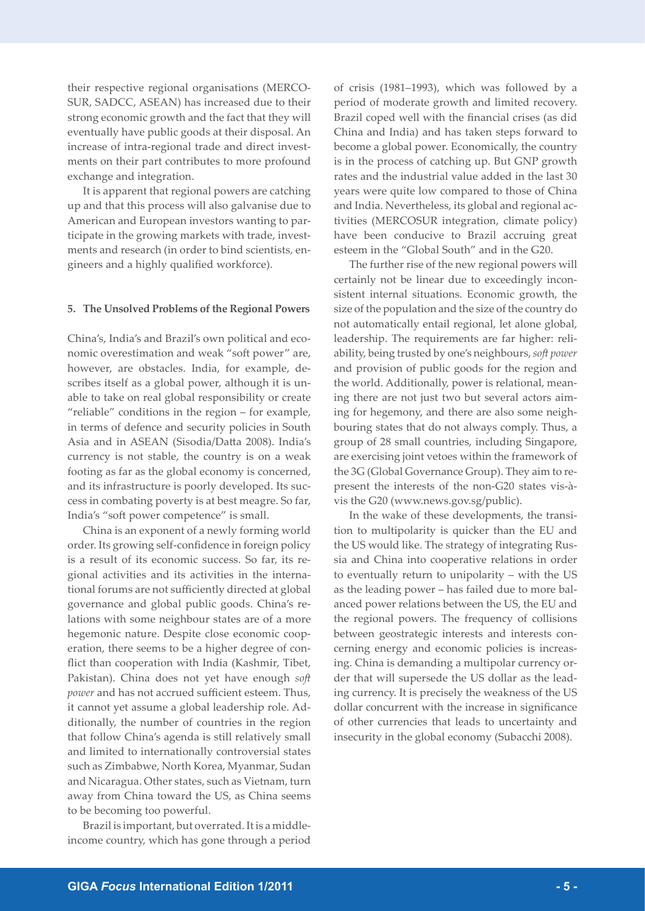their respective regional organisations (MERCO-SUR, SADCC, ASEAN) has increased due to their strong economic growth and the fact that they will eventually have public goods at their disposal. An increase of intra-regional trade and direct investments on their part contributes to more profound exchange and integration.

It is apparent that regional powers are catching up and that this process will also galvanise due to American and European investors wanting to participate in the growing markets with trade, investments and research (in order to bind scientists, engineers and a highly qualified workforce).

#### **5. The Unsolved Problems of the Regional Powers**

China's, India's and Brazil's own political and economic overestimation and weak "soft power" are, however, are obstacles. India, for example, describes itself as a global power, although it is unable to take on real global responsibility or create "reliable" conditions in the region – for example, in terms of defence and security policies in South Asia and in ASEAN (Sisodia/Datta 2008). India's currency is not stable, the country is on a weak footing as far as the global economy is concerned, and its infrastructure is poorly developed. Its success in combating poverty is at best meagre. So far, India's "soft power competence" is small.

China is an exponent of a newly forming world order. Its growing self-confidence in foreign policy is a result of its economic success. So far, its regional activities and its activities in the international forums are not sufficiently directed at global governance and global public goods. China's relations with some neighbour states are of a more hegemonic nature. Despite close economic cooperation, there seems to be a higher degree of conflict than cooperation with India (Kashmir, Tibet, Pakistan). China does not yet have enough *soft power* and has not accrued sufficient esteem. Thus, it cannot yet assume a global leadership role. Additionally, the number of countries in the region that follow China's agenda is still relatively small and limited to internationally controversial states such as Zimbabwe, North Korea, Myanmar, Sudan and Nicaragua. Other states, such as Vietnam, turn away from China toward the US, as China seems to be becoming too powerful.

Brazil is important, but overrated. It is a middleincome country, which has gone through a period of crisis (1981–1993), which was followed by a period of moderate growth and limited recovery. Brazil coped well with the financial crises (as did China and India) and has taken steps forward to become a global power. Economically, the country is in the process of catching up. But GNP growth rates and the industrial value added in the last 30 years were quite low compared to those of China and India. Nevertheless, its global and regional activities (MERCOSUR integration, climate policy) have been conducive to Brazil accruing great esteem in the "Global South" and in the G20.

The further rise of the new regional powers will certainly not be linear due to exceedingly inconsistent internal situations. Economic growth, the size of the population and the size of the country do not automatically entail regional, let alone global, leadership. The requirements are far higher: reliability, being trusted by one's neighbours, *soft power* and provision of public goods for the region and the world. Additionally, power is relational, meaning there are not just two but several actors aiming for hegemony, and there are also some neighbouring states that do not always comply. Thus, a group of 28 small countries, including Singapore, are exercising joint vetoes within the framework of the 3G (Global Governance Group). They aim to represent the interests of the non-G20 states vis-àvis the G20 (www.news.gov.sg/public).

In the wake of these developments, the transition to multipolarity is quicker than the EU and the US would like. The strategy of integrating Russia and China into cooperative relations in order to eventually return to unipolarity – with the US as the leading power – has failed due to more balanced power relations between the US, the EU and the regional powers. The frequency of collisions between geostrategic interests and interests concerning energy and economic policies is increasing. China is demanding a multipolar currency order that will supersede the US dollar as the leading currency. It is precisely the weakness of the US dollar concurrent with the increase in significance of other currencies that leads to uncertainty and insecurity in the global economy (Subacchi 2008).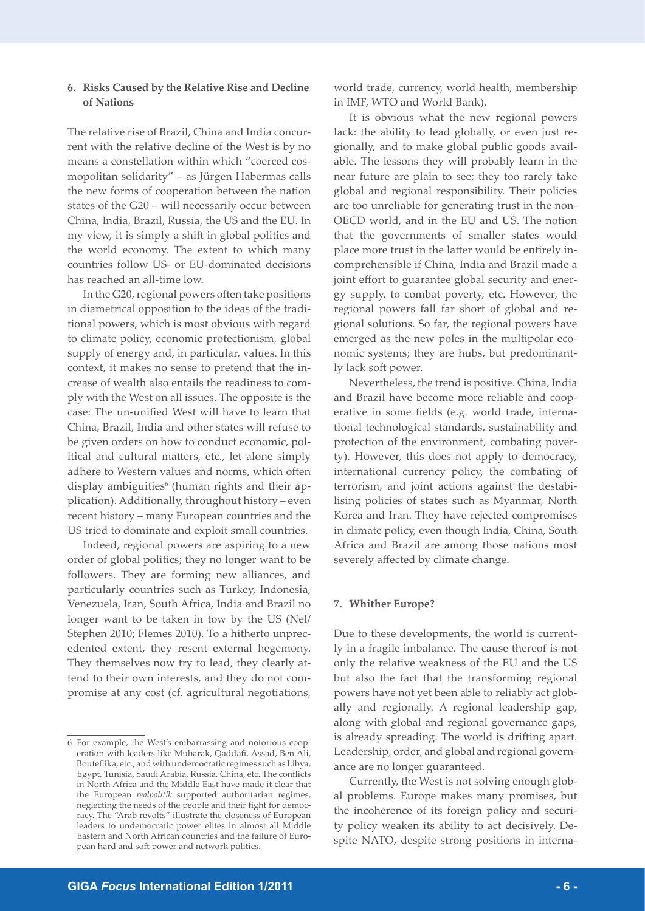## **6. Risks Caused by the Relative Rise and Decline of Nations**

The relative rise of Brazil, China and India concurrent with the relative decline of the West is by no means a constellation within which "coerced cosmopolitan solidarity" – as Jürgen Habermas calls the new forms of cooperation between the nation states of the G20 – will necessarily occur between China, India, Brazil, Russia, the US and the EU. In my view, it is simply a shift in global politics and the world economy. The extent to which many countries follow US- or EU-dominated decisions has reached an all-time low.

In the G20, regional powers often take positions in diametrical opposition to the ideas of the traditional powers, which is most obvious with regard to climate policy, economic protectionism, global supply of energy and, in particular, values. In this context, it makes no sense to pretend that the increase of wealth also entails the readiness to comply with the West on all issues. The opposite is the case: The un-unified West will have to learn that China, Brazil, India and other states will refuse to be given orders on how to conduct economic, political and cultural matters, etc., let alone simply adhere to Western values and norms, which often display ambiguities<sup>6</sup> (human rights and their application). Additionally, throughout history – even recent history – many European countries and the US tried to dominate and exploit small countries.

Indeed, regional powers are aspiring to a new order of global politics; they no longer want to be followers. They are forming new alliances, and particularly countries such as Turkey, Indonesia, Venezuela, Iran, South Africa, India and Brazil no longer want to be taken in tow by the US (Nel/ Stephen 2010; Flemes 2010). To a hitherto unprecedented extent, they resent external hegemony. They themselves now try to lead, they clearly attend to their own interests, and they do not compromise at any cost (cf. agricultural negotiations, world trade, currency, world health, membership in IMF, WTO and World Bank).

It is obvious what the new regional powers lack: the ability to lead globally, or even just regionally, and to make global public goods available. The lessons they will probably learn in the near future are plain to see; they too rarely take global and regional responsibility. Their policies are too unreliable for generating trust in the non-OECD world, and in the EU and US. The notion that the governments of smaller states would place more trust in the latter would be entirely incomprehensible if China, India and Brazil made a joint effort to guarantee global security and energy supply, to combat poverty, etc. However, the regional powers fall far short of global and regional solutions. So far, the regional powers have emerged as the new poles in the multipolar economic systems; they are hubs, but predominantly lack soft power.

Nevertheless, the trend is positive. China, India and Brazil have become more reliable and cooperative in some fields (e.g. world trade, international technological standards, sustainability and protection of the environment, combating poverty). However, this does not apply to democracy, international currency policy, the combating of terrorism, and joint actions against the destabilising policies of states such as Myanmar, North Korea and Iran. They have rejected compromises in climate policy, even though India, China, South Africa and Brazil are among those nations most severely affected by climate change.

#### **7. Whither Europe?**

Due to these developments, the world is currently in a fragile imbalance. The cause thereof is not only the relative weakness of the EU and the US but also the fact that the transforming regional powers have not yet been able to reliably act globally and regionally. A regional leadership gap, along with global and regional governance gaps, is already spreading. The world is drifting apart. Leadership, order, and global and regional governance are no longer guaranteed.

Currently, the West is not solving enough global problems. Europe makes many promises, but the incoherence of its foreign policy and security policy weaken its ability to act decisively. Despite NATO, despite strong positions in interna-

<sup>6</sup> For example, the West's embarrassing and notorious cooperation with leaders like Mubarak, Qaddafi, Assad, Ben Ali, Bouteflika, etc., and with undemocratic regimes such as Libya, Egypt, Tunisia, Saudi Arabia, Russia, China, etc. The conflicts in North Africa and the Middle East have made it clear that the European *realpolitik* supported authoritarian regimes, neglecting the needs of the people and their fight for democracy. The "Arab revolts" illustrate the closeness of European leaders to undemocratic power elites in almost all Middle Eastern and North African countries and the failure of European hard and soft power and network politics.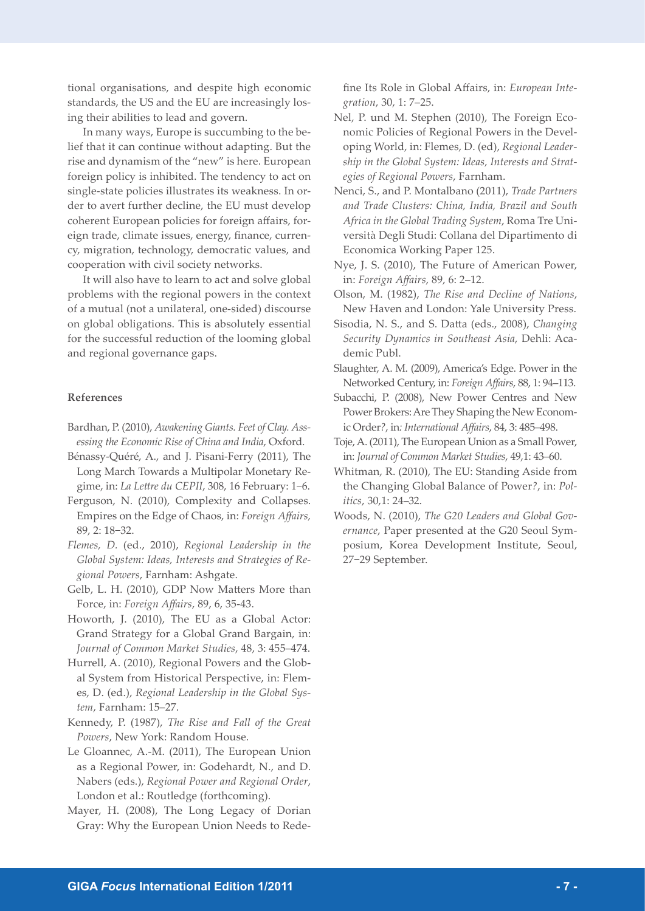tional organisations, and despite high economic standards, the US and the EU are increasingly losing their abilities to lead and govern.

In many ways, Europe is succumbing to the belief that it can continue without adapting. But the rise and dynamism of the "new" is here. European foreign policy is inhibited. The tendency to act on single-state policies illustrates its weakness. In order to avert further decline, the EU must develop coherent European policies for foreign affairs, foreign trade, climate issues, energy, finance, currency, migration, technology, democratic values, and cooperation with civil society networks.

It will also have to learn to act and solve global problems with the regional powers in the context of a mutual (not a unilateral, one-sided) discourse on global obligations. This is absolutely essential for the successful reduction of the looming global and regional governance gaps.

## **References**

- Bardhan, P. (2010), *Awakening Giants. Feet of Clay. Assessing the Economic Rise of China and India*, Oxford.
- Bénassy-Quéré, A., and J. Pisani-Ferry (2011), The Long March Towards a Multipolar Monetary Regime, in: *La Lettre du CEPII*, 308, 16 February: 1−6.
- Ferguson, N. (2010), Complexity and Collapses. Empires on the Edge of Chaos, in: *Foreign Affairs,*  89, 2: 18−32.
- *Flemes, D.* (ed., 2010), *Regional Leadership in the Global System: Ideas, Interests and Strategies of Regional Powers*, Farnham: Ashgate.
- Gelb, L. H. (2010), GDP Now Matters More than Force, in: *Foreign Affairs*, 89, 6, 35-43.
- Howorth, J. (2010), The EU as a Global Actor: Grand Strategy for a Global Grand Bargain, in: *Journal of Common Market Studies*, 48, 3: 455–474.
- Hurrell, A. (2010), Regional Powers and the Global System from Historical Perspective, in: Flemes, D. (ed.), *Regional Leadership in the Global System*, Farnham: 15–27.
- Kennedy, P. (1987), *The Rise and Fall of the Great Powers*, New York: Random House.
- Le Gloannec, A.-M. (2011), The European Union as a Regional Power, in: Godehardt, N., and D. Nabers (eds.), *Regional Power and Regional Order*, London et al.: Routledge (forthcoming).
- Mayer, H. (2008), The Long Legacy of Dorian Gray: Why the European Union Needs to Rede-

fine Its Role in Global Affairs, in: *European Integration*, 30, 1: 7–25.

- Nel, P. und M. Stephen (2010), The Foreign Economic Policies of Regional Powers in the Developing World, in: Flemes, D. (ed), *Regional Leadership in the Global System: Ideas, Interests and Strategies of Regional Powers*, Farnham.
- Nenci, S., and P. Montalbano (2011), *Trade Partners and Trade Clusters: China, India, Brazil and South Africa in the Global Trading System*, Roma Tre Università Degli Studi: Collana del Dipartimento di Economica Working Paper 125.
- Nye, J. S. (2010), The Future of American Power, in: *Foreign Affairs*, 89, 6: 2–12.
- Olson, M. (1982), *The Rise and Decline of Nations*, New Haven and London: Yale University Press.
- Sisodia, N. S., and S. Datta (eds., 2008), *Changing Security Dynamics in Southeast Asia*, Dehli: Academic Publ.
- Slaughter, A. M. (2009), America's Edge. Power in the Networked Century, in: *Foreign Affairs*, 88, 1: 94–113.
- Subacchi, P. (2008), New Power Centres and New Power Brokers: Are They Shaping the New Economic Order*?*, in*: International Affairs*, 84, 3: 485–498.
- Toje, A. (2011), The European Union as a Small Power, in: *Journal of Common Market Studies*, 49,1: 43–60.
- Whitman, R. (2010), The EU: Standing Aside from the Changing Global Balance of Power*?*, in: *Politics*, 30,1: 24–32.
- Woods, N. (2010), *The G20 Leaders and Global Governance*, Paper presented at the G20 Seoul Symposium, Korea Development Institute, Seoul, 27−29 September.